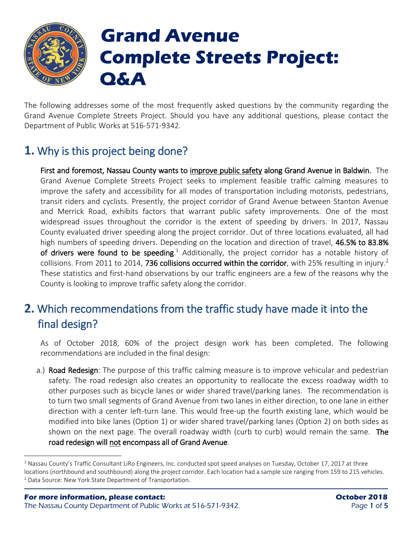

 $\overline{a}$ 

## **Grand Avenue Complete Streets Project: Q&A**

The following addresses some of the most frequently asked questions by the community regarding the Grand Avenue Complete Streets Project. Should you have any additional questions, please contact the Department of Public Works at 516-571-9342.

### **1.** Why is this project being done?

First and foremost, Nassau County wants to improve public safety along Grand Avenue in Baldwin. The Grand Avenue Complete Streets Project seeks to implement feasible traffic calming measures to improve the safety and accessibility for all modes of transportation including motorists, pedestrians, transit riders and cyclists. Presently, the project corridor of Grand Avenue between Stanton Avenue and Merrick Road, exhibits factors that warrant public safety improvements. One of the most widespread issues throughout the corridor is the extent of speeding by drivers. In 2017, Nassau County evaluated driver speeding along the project corridor. Out of three locations evaluated, all had high numbers of speeding drivers. Depending on the location and direction of travel, 46.5% to 83.8% of drivers were found to be speeding.<sup>1</sup> Additionally, the project corridor has a notable history of collisions. From 2011 to 2014, 736 collisions occurred within the corridor, with 25% resulting in injury.<sup>2</sup> These statistics and first-hand observations by our traffic engineers are a few of the reasons why the County is looking to improve traffic safety along the corridor.

#### **2.** Which recommendations from the traffic study have made it into the final design?

As of October 2018, 60% of the project design work has been completed. The following recommendations are included in the final design:

a.) Road Redesign: The purpose of this traffic calming measure is to improve vehicular and pedestrian safety. The road redesign also creates an opportunity to reallocate the excess roadway width to other purposes such as bicycle lanes or wider shared travel/parking lanes. The recommendation is to turn two small segments of Grand Avenue from two lanes in either direction, to one lane in either direction with a center left-turn lane. This would free-up the fourth existing lane, which would be modified into bike lanes (Option 1) or wider shared travel/parking lanes (Option 2) on both sides as shown on the next page. The overall roadway width (curb to curb) would remain the same. The road redesign will not encompass all of Grand Avenue.

 $1$  Nassau County's Traffic Consultant LiRo Engineers, Inc. conducted spot speed analyses on Tuesday, October 17, 2017 at three locations (northbound and southbound) along the project corridor. Each location had a sample size ranging from 159 to 215 vehicles. <sup>2</sup> Data Source: New York State Department of Transportation.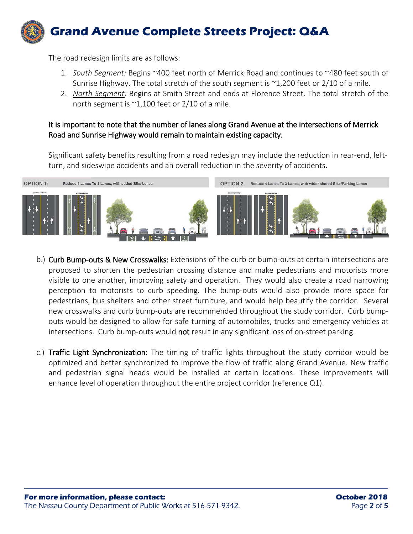# **Grand Avenue Complete Streets Project: Q&A**

The road redesign limits are as follows:

- 1. *South Segment:* Begins ~400 feet north of Merrick Road and continues to ~480 feet south of Sunrise Highway. The total stretch of the south segment is ~1,200 feet or 2/10 of a mile.
- 2. *North Segment:* Begins at Smith Street and ends at Florence Street. The total stretch of the north segment is  $\sim$ 1,100 feet or 2/10 of a mile.

#### It is important to note that the number of lanes along Grand Avenue at the intersections of Merrick Road and Sunrise Highway would remain to maintain existing capacity.

Significant safety benefits resulting from a road redesign may include the reduction in rear-end, leftturn, and sideswipe accidents and an overall reduction in the severity of accidents.



- b.) Curb Bump-outs & New Crosswalks: Extensions of the curb or bump-outs at certain intersections are proposed to shorten the pedestrian crossing distance and make pedestrians and motorists more visible to one another, improving safety and operation. They would also create a road narrowing perception to motorists to curb speeding. The bump-outs would also provide more space for pedestrians, bus shelters and other street furniture, and would help beautify the corridor. Several new crosswalks and curb bump-outs are recommended throughout the study corridor. Curb bumpouts would be designed to allow for safe turning of automobiles, trucks and emergency vehicles at intersections. Curb bump-outs would not result in any significant loss of on-street parking.
- c.) Traffic Light Synchronization: The timing of traffic lights throughout the study corridor would be optimized and better synchronized to improve the flow of traffic along Grand Avenue. New traffic and pedestrian signal heads would be installed at certain locations. These improvements will enhance level of operation throughout the entire project corridor (reference Q1).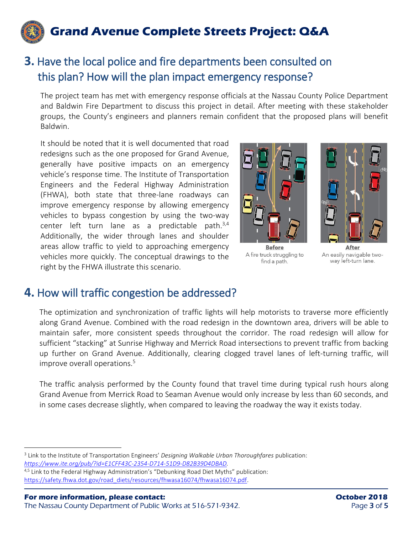

#### **3.** Have the local police and fire departments been consulted on this plan? How will the plan impact emergency response?

The project team has met with emergency response officials at the Nassau County Police Department and Baldwin Fire Department to discuss this project in detail. After meeting with these stakeholder groups, the County's engineers and planners remain confident that the proposed plans will benefit Baldwin.

It should be noted that it is well documented that road redesigns such as the one proposed for Grand Avenue, generally have positive impacts on an emergency vehicle's response time. The Institute of Transportation Engineers and the Federal Highway Administration (FHWA), both state that three-lane roadways can improve emergency response by allowing emergency vehicles to bypass congestion by using the two-way center left turn lane as a predictable path.<sup>3,4</sup> Additionally, the wider through lanes and shoulder areas allow traffic to yield to approaching emergency vehicles more quickly. The conceptual drawings to the right by the FHWA illustrate this scenario.



**Before** A fire truck struggling to find a path.



After An easily navigable twoway left-turn lane.

#### **4.** How will traffic congestion be addressed?

The optimization and synchronization of traffic lights will help motorists to traverse more efficiently along Grand Avenue. Combined with the road redesign in the downtown area, drivers will be able to maintain safer, more consistent speeds throughout the corridor. The road redesign will allow for sufficient "stacking" at Sunrise Highway and Merrick Road intersections to prevent traffic from backing up further on Grand Avenue. Additionally, clearing clogged travel lanes of left-turning traffic, will improve overall operations.<sup>5</sup>

The traffic analysis performed by the County found that travel time during typical rush hours along Grand Avenue from Merrick Road to Seaman Avenue would only increase by less than 60 seconds, and in some cases decrease slightly, when compared to leaving the roadway the way it exists today.

 $\overline{a}$ 

<sup>3</sup> Link to the Institute of Transportation Engineers' *Designing Walkable Urban Thoroughfares* publication: *[https://www.ite.org/pub/?id=E1CFF43C-2354-D714-51D9-D82B39D4DBAD.](https://www.ite.org/pub/?id=E1CFF43C-2354-D714-51D9-D82B39D4DBAD)*

<sup>4,5</sup> Link to the Federal Highway Administration's "Debunking Road Diet Myths" publication: [https://safety.fhwa.dot.gov/road\\_diets/resources/fhwasa16074/fhwasa16074.pdf.](https://safety.fhwa.dot.gov/road_diets/resources/fhwasa16074/fhwasa16074.pdf)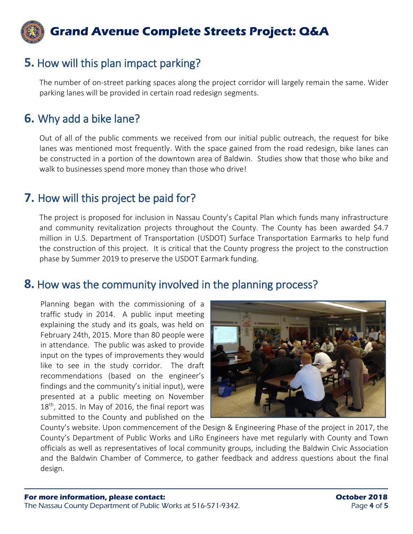

#### **5.** How will this plan impact parking?

The number of on-street parking spaces along the project corridor will largely remain the same. Wider parking lanes will be provided in certain road redesign segments.

#### **6.** Why add a bike lane?

Out of all of the public comments we received from our initial public outreach, the request for bike lanes was mentioned most frequently. With the space gained from the road redesign, bike lanes can be constructed in a portion of the downtown area of Baldwin. Studies show that those who bike and walk to businesses spend more money than those who drive!

#### **7.** How will this project be paid for?

The project is proposed for inclusion in Nassau County's Capital Plan which funds many infrastructure and community revitalization projects throughout the County. The County has been awarded \$4.7 million in U.S. Department of Transportation (USDOT) Surface Transportation Earmarks to help fund the construction of this project. It is critical that the County progress the project to the construction phase by Summer 2019 to preserve the USDOT Earmark funding.

#### **8.** How was the community involved in the planning process?

Planning began with the commissioning of a traffic study in 2014. A public input meeting explaining the study and its goals, was held on February 24th, 2015. More than 80 people were in attendance. The public was asked to provide input on the types of improvements they would like to see in the study corridor. The draft recommendations (based on the engineer's findings and the community's initial input), were presented at a public meeting on November  $18<sup>th</sup>$ , 2015. In May of 2016, the final report was submitted to the County and published on the



County's website. Upon commencement of the Design & Engineering Phase of the project in 2017, the County's Department of Public Works and LiRo Engineers have met regularly with County and Town officials as well as representatives of local community groups, including the Baldwin Civic Association and the Baldwin Chamber of Commerce, to gather feedback and address questions about the final design.